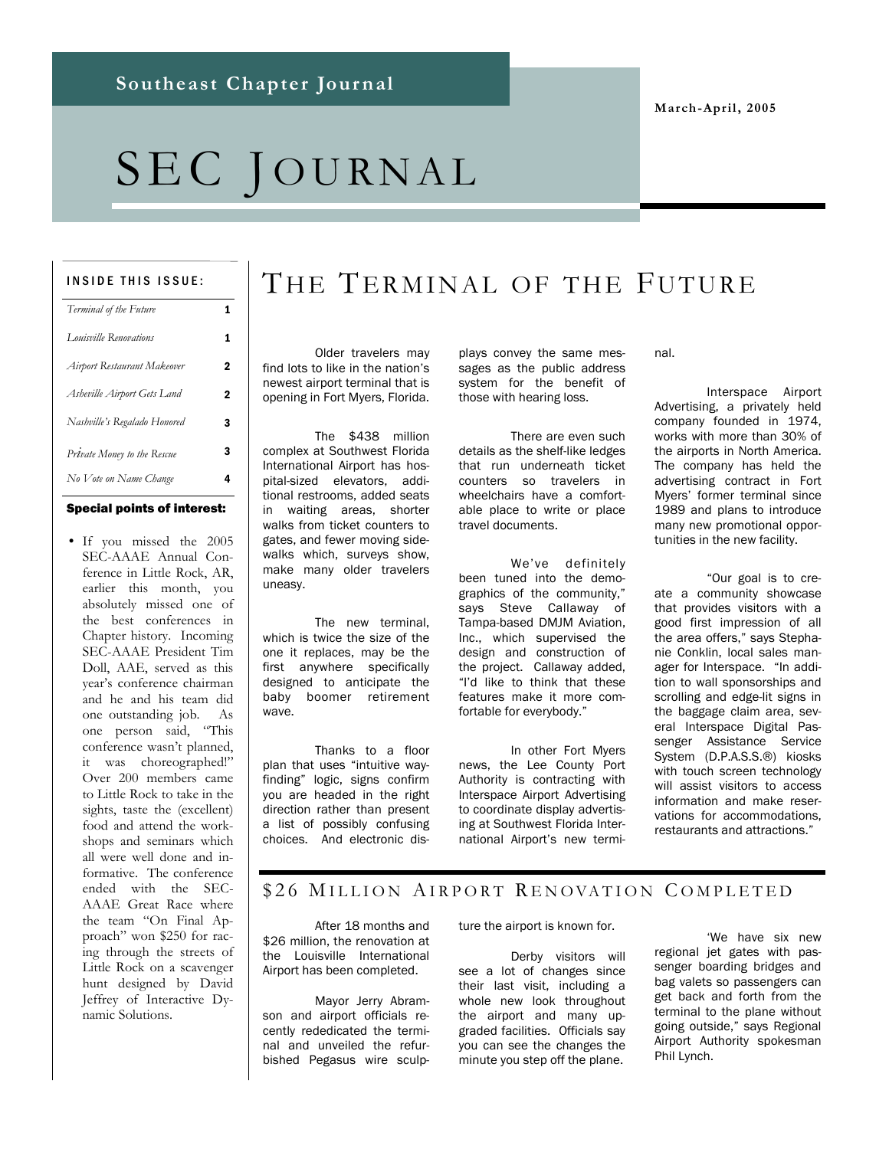**March-April, 2005** 

# SEC JOURNAL

#### INSIDE THIS ISSUE:

| Terminal of the Future       | 1 |
|------------------------------|---|
| Louisville Renovations       | 1 |
| Airport Restaurant Makeover  | 2 |
| Asheville Airport Gets Land  | 2 |
| Nashville's Regalado Honored | 3 |
| Private Money to the Rescue  | 3 |
| No Vote on Name Change       | 4 |

#### Special points of interest:

• If you missed the 2005 SEC-AAAE Annual Conference in Little Rock, AR, earlier this month, you absolutely missed one of the best conferences in Chapter history. Incoming SEC-AAAE President Tim Doll, AAE, served as this year's conference chairman and he and his team did one outstanding job. As one person said, "This conference wasn't planned, it was choreographed!" Over 200 members came to Little Rock to take in the sights, taste the (excellent) food and attend the workshops and seminars which all were well done and informative. The conference ended with the SEC-AAAE Great Race where the team "On Final Approach" won \$250 for racing through the streets of Little Rock on a scavenger hunt designed by David Jeffrey of Interactive Dynamic Solutions.

## THE TERMINAL OF THE FUTURE

 Older travelers may find lots to like in the nation's newest airport terminal that is opening in Fort Myers, Florida.

 The \$438 million complex at Southwest Florida International Airport has hospital-sized elevators, additional restrooms, added seats in waiting areas, shorter walks from ticket counters to gates, and fewer moving sidewalks which, surveys show, make many older travelers uneasy.

 The new terminal, which is twice the size of the one it replaces, may be the first anywhere specifically designed to anticipate the baby boomer retirement wave.

 Thanks to a floor plan that uses "intuitive wayfinding" logic, signs confirm you are headed in the right direction rather than present a list of possibly confusing choices. And electronic displays convey the same messages as the public address system for the benefit of those with hearing loss.

 There are even such details as the shelf-like ledges that run underneath ticket counters so travelers in wheelchairs have a comfortable place to write or place travel documents.

 We've definitely been tuned into the demographics of the community," says Steve Callaway of Tampa-based DMJM Aviation, Inc., which supervised the design and construction of the project. Callaway added, "I'd like to think that these features make it more comfortable for everybody."

 In other Fort Myers news, the Lee County Port Authority is contracting with Interspace Airport Advertising to coordinate display advertising at Southwest Florida International Airport's new termi-

#### nal.

 Interspace Airport Advertising, a privately held company founded in 1974, works with more than 30% of the airports in North America. The company has held the advertising contract in Fort Myers' former terminal since 1989 and plans to introduce many new promotional opportunities in the new facility.

 "Our goal is to create a community showcase that provides visitors with a good first impression of all the area offers," says Stephanie Conklin, local sales manager for Interspace. "In addition to wall sponsorships and scrolling and edge-lit signs in the baggage claim area, several Interspace Digital Passenger Assistance Service System (D.P.A.S.S.®) kiosks with touch screen technology will assist visitors to access information and make reservations for accommodations, restaurants and attractions."

#### \$26 MILLION AIRPORT RENOVATION COMPLETED

 After 18 months and \$26 million, the renovation at the Louisville International Airport has been completed.

 Mayor Jerry Abramson and airport officials recently rededicated the terminal and unveiled the refurbished Pegasus wire sculpture the airport is known for.

 Derby visitors will see a lot of changes since their last visit, including a whole new look throughout the airport and many upgraded facilities. Officials say you can see the changes the minute you step off the plane.

 'We have six new regional jet gates with passenger boarding bridges and bag valets so passengers can get back and forth from the terminal to the plane without going outside," says Regional Airport Authority spokesman Phil Lynch.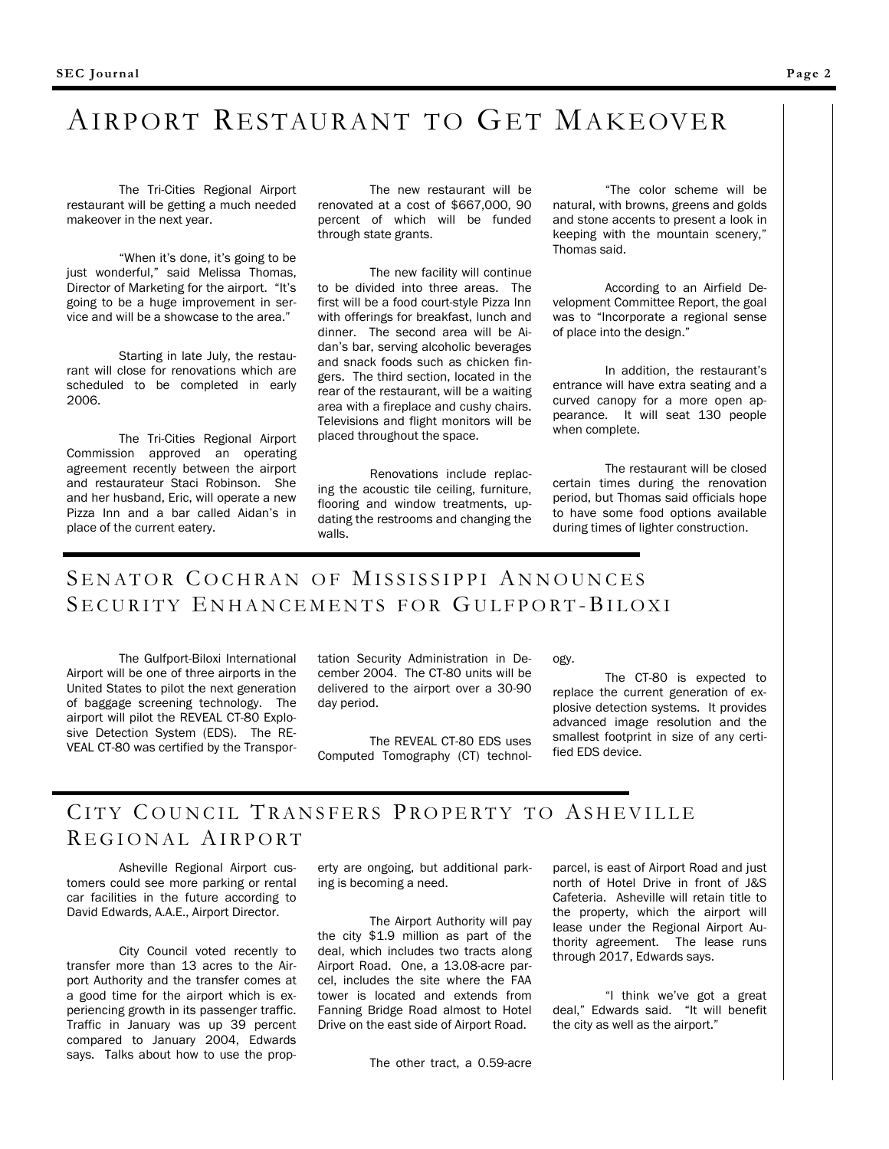## AIRPORT RESTAURANT TO GET MAKEOVER

 The Tri-Cities Regional Airport restaurant will be getting a much needed makeover in the next year.

 "When it's done, it's going to be just wonderful," said Melissa Thomas, Director of Marketing for the airport. "It's going to be a huge improvement in service and will be a showcase to the area."

 Starting in late July, the restaurant will close for renovations which are scheduled to be completed in early 2006.

 The Tri-Cities Regional Airport Commission approved an operating agreement recently between the airport and restaurateur Staci Robinson. She and her husband, Eric, will operate a new Pizza Inn and a bar called Aidan's in place of the current eatery.

 The new restaurant will be renovated at a cost of \$667,000, 90 percent of which will be funded through state grants.

 The new facility will continue to be divided into three areas. The first will be a food court-style Pizza Inn with offerings for breakfast, lunch and dinner. The second area will be Aidan's bar, serving alcoholic beverages and snack foods such as chicken fingers. The third section, located in the rear of the restaurant, will be a waiting area with a fireplace and cushy chairs. Televisions and flight monitors will be placed throughout the space.

 Renovations include replacing the acoustic tile ceiling, furniture, flooring and window treatments, updating the restrooms and changing the walls.

 "The color scheme will be natural, with browns, greens and golds and stone accents to present a look in keeping with the mountain scenery," Thomas said.

 According to an Airfield Development Committee Report, the goal was to "Incorporate a regional sense of place into the design."

 In addition, the restaurant's entrance will have extra seating and a curved canopy for a more open appearance. It will seat 130 people when complete.

 The restaurant will be closed certain times during the renovation period, but Thomas said officials hope to have some food options available during times of lighter construction.

### SENATOR COCHRAN OF MISSISSIPPI ANNOUNCES SECURITY ENHANCEMENTS FOR GULFPORT-BILOXI

 The Gulfport-Biloxi International Airport will be one of three airports in the United States to pilot the next generation of baggage screening technology. The airport will pilot the REVEAL CT-80 Explosive Detection System (EDS). The RE-VEAL CT-80 was certified by the Transportation Security Administration in December 2004. The CT-80 units will be delivered to the airport over a 30-90 day period.

 The REVEAL CT-80 EDS uses Computed Tomography (CT) technology.

 The CT-80 is expected to replace the current generation of explosive detection systems. It provides advanced image resolution and the smallest footprint in size of any certified EDS device.

### CITY COUNCIL TRANSFERS PROPERTY TO ASHEVILLE R EGIONAL AIRPORT

 Asheville Regional Airport customers could see more parking or rental car facilities in the future according to David Edwards, A.A.E., Airport Director.

 City Council voted recently to transfer more than 13 acres to the Airport Authority and the transfer comes at a good time for the airport which is experiencing growth in its passenger traffic. Traffic in January was up 39 percent compared to January 2004, Edwards says. Talks about how to use the property are ongoing, but additional parking is becoming a need.

 The Airport Authority will pay the city \$1.9 million as part of the deal, which includes two tracts along Airport Road. One, a 13.08-acre parcel, includes the site where the FAA tower is located and extends from Fanning Bridge Road almost to Hotel Drive on the east side of Airport Road.

parcel, is east of Airport Road and just north of Hotel Drive in front of J&S Cafeteria. Asheville will retain title to the property, which the airport will lease under the Regional Airport Authority agreement. The lease runs through 2017, Edwards says.

 "I think we've got a great deal," Edwards said. "It will benefit the city as well as the airport."

The other tract, a 0.59-acre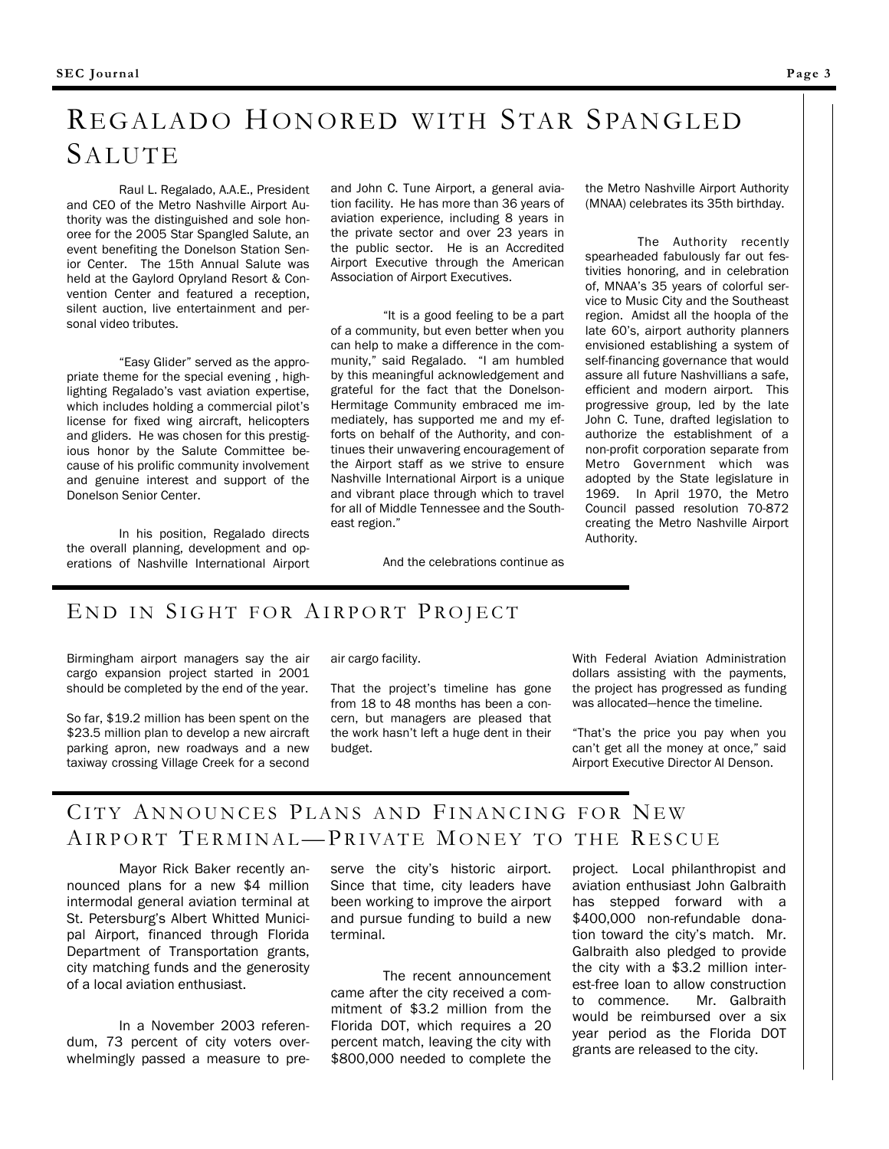## REGALADO HONORED WITH STAR SPANGLED SALUTE

 Raul L. Regalado, A.A.E., President and CEO of the Metro Nashville Airport Authority was the distinguished and sole honoree for the 2005 Star Spangled Salute, an event benefiting the Donelson Station Senior Center. The 15th Annual Salute was held at the Gaylord Opryland Resort & Convention Center and featured a reception, silent auction, live entertainment and personal video tributes.

 "Easy Glider" served as the appropriate theme for the special evening , highlighting Regalado's vast aviation expertise, which includes holding a commercial pilot's license for fixed wing aircraft, helicopters and gliders. He was chosen for this prestigious honor by the Salute Committee because of his prolific community involvement and genuine interest and support of the Donelson Senior Center.

 In his position, Regalado directs the overall planning, development and operations of Nashville International Airport and John C. Tune Airport, a general aviation facility. He has more than 36 years of aviation experience, including 8 years in the private sector and over 23 years in the public sector. He is an Accredited Airport Executive through the American Association of Airport Executives.

 "It is a good feeling to be a part of a community, but even better when you can help to make a difference in the community," said Regalado. "I am humbled by this meaningful acknowledgement and grateful for the fact that the Donelson-Hermitage Community embraced me immediately, has supported me and my efforts on behalf of the Authority, and continues their unwavering encouragement of the Airport staff as we strive to ensure Nashville International Airport is a unique and vibrant place through which to travel for all of Middle Tennessee and the Southeast region."

the Metro Nashville Airport Authority (MNAA) celebrates its 35th birthday.

 The Authority recently spearheaded fabulously far out festivities honoring, and in celebration of, MNAA's 35 years of colorful service to Music City and the Southeast region. Amidst all the hoopla of the late 60's, airport authority planners envisioned establishing a system of self-financing governance that would assure all future Nashvillians a safe, efficient and modern airport. This progressive group, led by the late John C. Tune, drafted legislation to authorize the establishment of a non-profit corporation separate from Metro Government which was adopted by the State legislature in 1969. In April 1970, the Metro Council passed resolution 70-872 creating the Metro Nashville Airport Authority.

And the celebrations continue as

### END IN SIGHT FOR AIRPORT PROJECT

Birmingham airport managers say the air cargo expansion project started in 2001 should be completed by the end of the year.

So far, \$19.2 million has been spent on the \$23.5 million plan to develop a new aircraft parking apron, new roadways and a new taxiway crossing Village Creek for a second

air cargo facility.

That the project's timeline has gone from 18 to 48 months has been a concern, but managers are pleased that the work hasn't left a huge dent in their budget.

With Federal Aviation Administration dollars assisting with the payments, the project has progressed as funding was allocated—hence the timeline.

"That's the price you pay when you can't get all the money at once," said Airport Executive Director Al Denson.

## CITY ANNOUNCES PLANS AND FINANCING FOR NEW AIRPORT TERMINAL-PRIVATE MONEY TO THE RESCUE

 Mayor Rick Baker recently announced plans for a new \$4 million intermodal general aviation terminal at St. Petersburg's Albert Whitted Municipal Airport, financed through Florida Department of Transportation grants, city matching funds and the generosity of a local aviation enthusiast.

 In a November 2003 referendum, 73 percent of city voters overwhelmingly passed a measure to preserve the city's historic airport. Since that time, city leaders have been working to improve the airport and pursue funding to build a new terminal.

 The recent announcement came after the city received a commitment of \$3.2 million from the Florida DOT, which requires a 20 percent match, leaving the city with \$800,000 needed to complete the project. Local philanthropist and aviation enthusiast John Galbraith has stepped forward with a \$400,000 non-refundable donation toward the city's match. Mr. Galbraith also pledged to provide the city with a \$3.2 million interest-free loan to allow construction to commence. Mr. Galbraith would be reimbursed over a six year period as the Florida DOT grants are released to the city.